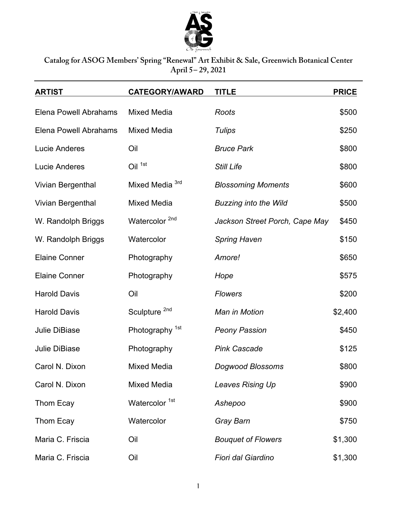

## **Catalog for ASOG Members' Spring "Renewal" Art Exhibit & Sale, Greenwich Botanical Center April 5– 29, 2021**

| <b>ARTIST</b>         | <b>CATEGORY/AWARD</b>      | <b>TITLE</b>                   | <b>PRICE</b> |
|-----------------------|----------------------------|--------------------------------|--------------|
| Elena Powell Abrahams | <b>Mixed Media</b>         | Roots                          | \$500        |
| Elena Powell Abrahams | <b>Mixed Media</b>         | <b>Tulips</b>                  | \$250        |
| <b>Lucie Anderes</b>  | Oil                        | <b>Bruce Park</b>              | \$800        |
| <b>Lucie Anderes</b>  | Oil 1st                    | <b>Still Life</b>              | \$800        |
| Vivian Bergenthal     | Mixed Media <sup>3rd</sup> | <b>Blossoming Moments</b>      | \$600        |
| Vivian Bergenthal     | Mixed Media                | <b>Buzzing into the Wild</b>   | \$500        |
| W. Randolph Briggs    | Watercolor <sup>2nd</sup>  | Jackson Street Porch, Cape May | \$450        |
| W. Randolph Briggs    | Watercolor                 | <b>Spring Haven</b>            | \$150        |
| <b>Elaine Conner</b>  | Photography                | Amore!                         | \$650        |
| <b>Elaine Conner</b>  | Photography                | Hope                           | \$575        |
| <b>Harold Davis</b>   | Oil                        | <b>Flowers</b>                 | \$200        |
| <b>Harold Davis</b>   | Sculpture <sup>2nd</sup>   | Man in Motion                  | \$2,400      |
| <b>Julie DiBiase</b>  | Photography <sup>1st</sup> | <b>Peony Passion</b>           | \$450        |
| <b>Julie DiBiase</b>  | Photography                | <b>Pink Cascade</b>            | \$125        |
| Carol N. Dixon        | <b>Mixed Media</b>         | <b>Dogwood Blossoms</b>        | \$800        |
| Carol N. Dixon        | <b>Mixed Media</b>         | Leaves Rising Up               | \$900        |
| Thom Ecay             | Watercolor <sup>1st</sup>  | Ashepoo                        | \$900        |
| Thom Ecay             | Watercolor                 | Gray Barn                      | \$750        |
| Maria C. Friscia      | Oil                        | <b>Bouquet of Flowers</b>      | \$1,300      |
| Maria C. Friscia      | Oil                        | Fiori dal Giardino             | \$1,300      |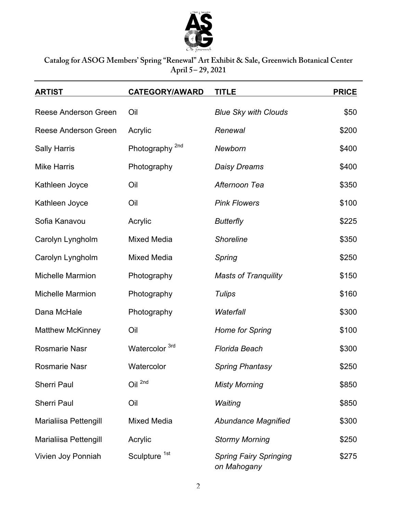

**Catalog for ASOG Members' Spring "Renewal" Art Exhibit & Sale, Greenwich Botanical Center April 5– 29, 2021**

| <b>ARTIST</b>                | <b>CATEGORY/AWARD</b>      | <b>TITLE</b>                                 | <b>PRICE</b> |
|------------------------------|----------------------------|----------------------------------------------|--------------|
| <b>Reese Anderson Green</b>  | Oil                        | <b>Blue Sky with Clouds</b>                  | \$50         |
| Reese Anderson Green         | Acrylic                    | Renewal                                      | \$200        |
| <b>Sally Harris</b>          | Photography <sup>2nd</sup> | Newborn                                      | \$400        |
| <b>Mike Harris</b>           | Photography                | <b>Daisy Dreams</b>                          | \$400        |
| Kathleen Joyce               | Oil                        | Afternoon Tea                                | \$350        |
| Kathleen Joyce               | Oil                        | <b>Pink Flowers</b>                          | \$100        |
| Sofia Kanavou                | Acrylic                    | <b>Butterfly</b>                             | \$225        |
| Carolyn Lyngholm             | <b>Mixed Media</b>         | <b>Shoreline</b>                             | \$350        |
| Carolyn Lyngholm             | <b>Mixed Media</b>         | Spring                                       | \$250        |
| <b>Michelle Marmion</b>      | Photography                | <b>Masts of Tranquility</b>                  | \$150        |
| <b>Michelle Marmion</b>      | Photography                | <b>Tulips</b>                                | \$160        |
| Dana McHale                  | Photography                | Waterfall                                    | \$300        |
| <b>Matthew McKinney</b>      | Oil                        | <b>Home for Spring</b>                       | \$100        |
| <b>Rosmarie Nasr</b>         | Watercolor 3rd             | <b>Florida Beach</b>                         | \$300        |
| <b>Rosmarie Nasr</b>         | Watercolor                 | <b>Spring Phantasy</b>                       | \$250        |
| <b>Sherri Paul</b>           | Oil <sup>2nd</sup>         | <b>Misty Morning</b>                         | \$850        |
| <b>Sherri Paul</b>           | Oil                        | Waiting                                      | \$850        |
| Marialiisa Pettengill        | Mixed Media                | <b>Abundance Magnified</b>                   | \$300        |
| <b>Marialiisa Pettengill</b> | Acrylic                    | <b>Stormy Morning</b>                        | \$250        |
| Vivien Joy Ponniah           | Sculpture <sup>1st</sup>   | <b>Spring Fairy Springing</b><br>on Mahogany | \$275        |